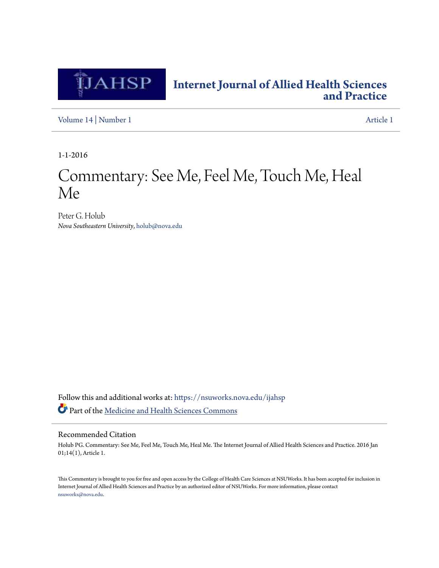

## **[Internet Journal of Allied Health Sciences](https://nsuworks.nova.edu/ijahsp?utm_source=nsuworks.nova.edu%2Fijahsp%2Fvol14%2Fiss1%2F1&utm_medium=PDF&utm_campaign=PDFCoverPages) [and Practice](https://nsuworks.nova.edu/ijahsp?utm_source=nsuworks.nova.edu%2Fijahsp%2Fvol14%2Fiss1%2F1&utm_medium=PDF&utm_campaign=PDFCoverPages)**

[Volume 14](https://nsuworks.nova.edu/ijahsp/vol14?utm_source=nsuworks.nova.edu%2Fijahsp%2Fvol14%2Fiss1%2F1&utm_medium=PDF&utm_campaign=PDFCoverPages) | [Number 1](https://nsuworks.nova.edu/ijahsp/vol14/iss1?utm_source=nsuworks.nova.edu%2Fijahsp%2Fvol14%2Fiss1%2F1&utm_medium=PDF&utm_campaign=PDFCoverPages) [Article 1](https://nsuworks.nova.edu/ijahsp/vol14/iss1/1?utm_source=nsuworks.nova.edu%2Fijahsp%2Fvol14%2Fiss1%2F1&utm_medium=PDF&utm_campaign=PDFCoverPages)

1-1-2016

# Commentary: See Me, Feel Me, Touch Me, Heal Me

Peter G. Holub *Nova Southeastern University*, holub@nova.edu

Follow this and additional works at: [https://nsuworks.nova.edu/ijahsp](https://nsuworks.nova.edu/ijahsp?utm_source=nsuworks.nova.edu%2Fijahsp%2Fvol14%2Fiss1%2F1&utm_medium=PDF&utm_campaign=PDFCoverPages) Part of the [Medicine and Health Sciences Commons](http://network.bepress.com/hgg/discipline/648?utm_source=nsuworks.nova.edu%2Fijahsp%2Fvol14%2Fiss1%2F1&utm_medium=PDF&utm_campaign=PDFCoverPages)

#### Recommended Citation

Holub PG. Commentary: See Me, Feel Me, Touch Me, Heal Me. The Internet Journal of Allied Health Sciences and Practice. 2016 Jan 01;14(1), Article 1.

This Commentary is brought to you for free and open access by the College of Health Care Sciences at NSUWorks. It has been accepted for inclusion in Internet Journal of Allied Health Sciences and Practice by an authorized editor of NSUWorks. For more information, please contact [nsuworks@nova.edu.](mailto:nsuworks@nova.edu)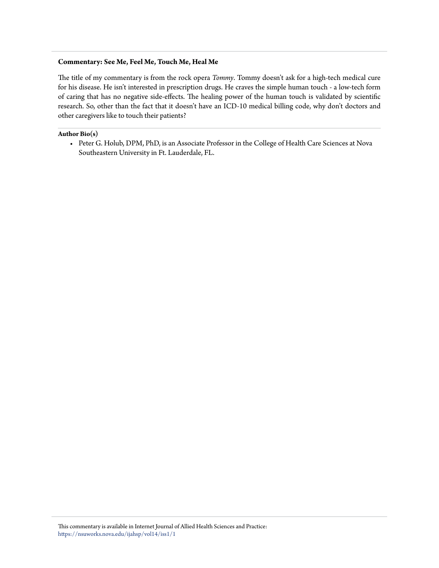#### **Commentary: See Me, Feel Me, Touch Me, Heal Me**

The title of my commentary is from the rock opera *Tommy*. Tommy doesn't ask for a high-tech medical cure for his disease. He isn't interested in prescription drugs. He craves the simple human touch - a low-tech form of caring that has no negative side-effects. The healing power of the human touch is validated by scientific research. So, other than the fact that it doesn't have an ICD-10 medical billing code, why don't doctors and other caregivers like to touch their patients?

#### **Author Bio(s)**

• Peter G. Holub, DPM, PhD, is an Associate Professor in the College of Health Care Sciences at Nova Southeastern University in Ft. Lauderdale, FL.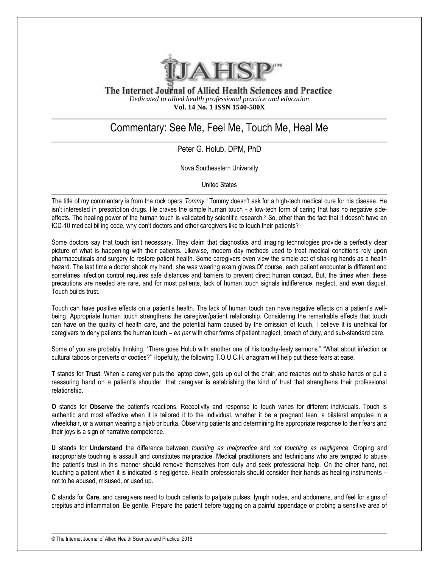

The Internet Journal of Allied Health Sciences and Practice *Dedicated to allied health professional practice and education* **Vol. 14 No. 1 ISSN 1540-580X**

## Commentary: See Me, Feel Me, Touch Me, Heal Me

### Peter G. Holub, DPM, PhD

Nova Southeastern University

United States

The title of my commentary is from the rock opera *Tommy*.<sup>1</sup> Tommy doesn't ask for a high-tech medical cure for his disease. He isn't interested in prescription drugs. He craves the simple human touch - a low-tech form of caring that has no negative sideeffects. The healing power of the human touch is validated by scientific research.<sup>2</sup> So, other than the fact that it doesn't have an ICD-10 medical billing code, why don't doctors and other caregivers like to touch their patients?

Some doctors say that touch isn't necessary. They claim that diagnostics and imaging technologies provide a perfectly clear picture of what is happening with their patients. Likewise, modern day methods used to treat medical conditions rely upon pharmaceuticals and surgery to restore patient health. Some caregivers even view the simple act of shaking hands as a health hazard. The last time a doctor shook my hand, she was wearing exam gloves.Of course, each patient encounter is different and sometimes infection control requires safe distances and barriers to prevent direct human contact. But, the times when these precautions are needed are rare, and for most patients, lack of human touch signals indifference, neglect, and even disgust. Touch builds trust.

Touch can have positive effects on a patient's health. The lack of human touch can have negative effects on a patient's wellbeing. Appropriate human touch strengthens the caregiver/patient relationship. Considering the remarkable effects that touch can have on the quality of health care, and the potential harm caused by the omission of touch, I believe it is unethical for caregivers to deny patients the human touch – *en par* with other forms of patient neglect, breach of duty, and sub-standard care.

Some of you are probably thinking, "There goes Holub with another one of his touchy-feely sermons." "What about infection or cultural taboos or perverts or cooties?" Hopefully, the following T.O.U.C.H. anagram will help put these fears at ease.

**T** stands for **Trust**. When a caregiver puts the laptop down, gets up out of the chair, and reaches out to shake hands or put a reassuring hand on a patient's shoulder, that caregiver is establishing the kind of trust that strengthens their professional relationship.

**O** stands for **Observe** the patient's reactions. Receptivity and response to touch varies for different individuals. Touch is authentic and most effective when it is tailored it to the individual, whether it be a pregnant teen, a bilateral amputee in a wheelchair, or a woman wearing a hijab or burka. Observing patients and determining the appropriate response to their fears and their joys is a sign of narrative competence.

**U** stands for **Understand** the difference between *touching as malpractice* and *not touching as negligence*. Groping and inappropriate touching is assault and constitutes malpractice. Medical practitioners and technicians who are tempted to abuse the patient's trust in this manner should remove themselves from duty and seek professional help. On the other hand, not touching a patient when it is indicated is negligence. Health professionals should consider their hands as healing instruments – not to be abused, misused, or used up.

**C** stands for **Care,** and caregivers need to touch patients to palpate pulses, lymph nodes, and abdomens, and feel for signs of crepitus and inflammation. Be gentle. Prepare the patient before tugging on a painful appendage or probing a sensitive area of